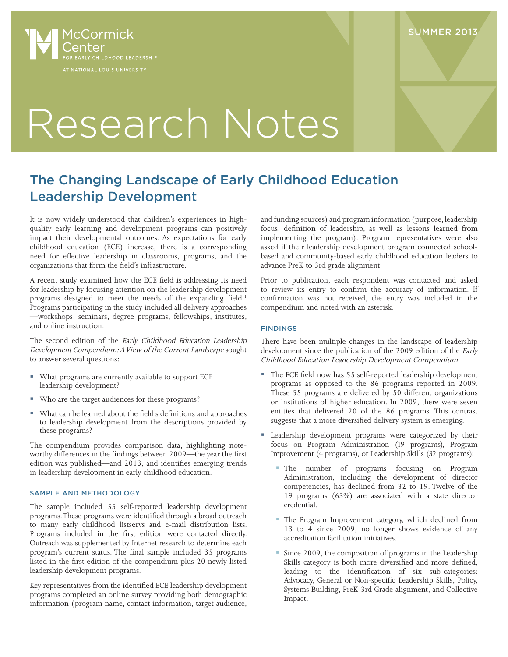

**SUMMER 2013** 

# Research Notes

# The Changing Landscape of Early Childhood Education Leadership Development

It is now widely understood that children's experiences in highquality early learning and development programs can positively impact their developmental outcomes. As expectations for early childhood education (ECE) increase, there is a corresponding need for effective leadership in classrooms, programs, and the organizations that form the field's infrastructure.

A recent study examined how the ECE field is addressing its need for leadership by focusing attention on the leadership development programs designed to meet the needs of the expanding field.<sup>1</sup> Programs participating in the study included all delivery approaches —workshops, seminars, degree programs, fellowships, institutes, and online instruction.

The second edition of the Early Childhood Education Leadership Development Compendium: A View of the Current Landscape sought to answer several questions:

- What programs are currently available to support ECE leadership development?
- Who are the target audiences for these programs?
- What can be learned about the field's definitions and approaches to leadership development from the descriptions provided by these programs?

The compendium provides comparison data, highlighting noteworthy differences in the findings between 2009—the year the first edition was published—and 2013, and identifies emerging trends in leadership development in early childhood education.

## SAMPLE AND METHODOLOGY

The sample included 55 self-reported leadership development programs. These programs were identified through a broad outreach to many early childhood listservs and e-mail distribution lists. Programs included in the first edition were contacted directly. Outreach was supplemented by Internet research to determine each program's current status. The final sample included 35 programs listed in the first edition of the compendium plus 20 newly listed leadership development programs.

Key representatives from the identified ECE leadership development programs completed an online survey providing both demographic information (program name, contact information, target audience, and funding sources) and program information (purpose, leadership focus, definition of leadership, as well as lessons learned from implementing the program). Program representatives were also asked if their leadership development program connected schoolbased and community-based early childhood education leaders to advance PreK to 3rd grade alignment.

Prior to publication, each respondent was contacted and asked to review its entry to confirm the accuracy of information. If confirmation was not received, the entry was included in the compendium and noted with an asterisk.

## FINDINGS

There have been multiple changes in the landscape of leadership development since the publication of the 2009 edition of the Early Childhood Education Leadership Development Compendium.

- The ECE field now has 55 self-reported leadership development programs as opposed to the 86 programs reported in 2009. These 55 programs are delivered by 50 different organizations or institutions of higher education. In 2009, there were seven entities that delivered 20 of the 86 programs. This contrast suggests that a more diversified delivery system is emerging.
- Leadership development programs were categorized by their focus on Program Administration (19 programs), Program Improvement (4 programs), or Leadership Skills (32 programs):
	- The number of programs focusing on Program Administration, including the development of director competencies, has declined from 32 to 19. Twelve of the 19 programs (63%) are associated with a state director credential.
	- The Program Improvement category, which declined from 13 to 4 since 2009, no longer shows evidence of any accreditation facilitation initiatives.
	- Since 2009, the composition of programs in the Leadership Skills category is both more diversified and more defined, leading to the identification of six sub-categories: Advocacy, General or Non-specific Leadership Skills, Policy, Systems Building, PreK-3rd Grade alignment, and Collective Impact.